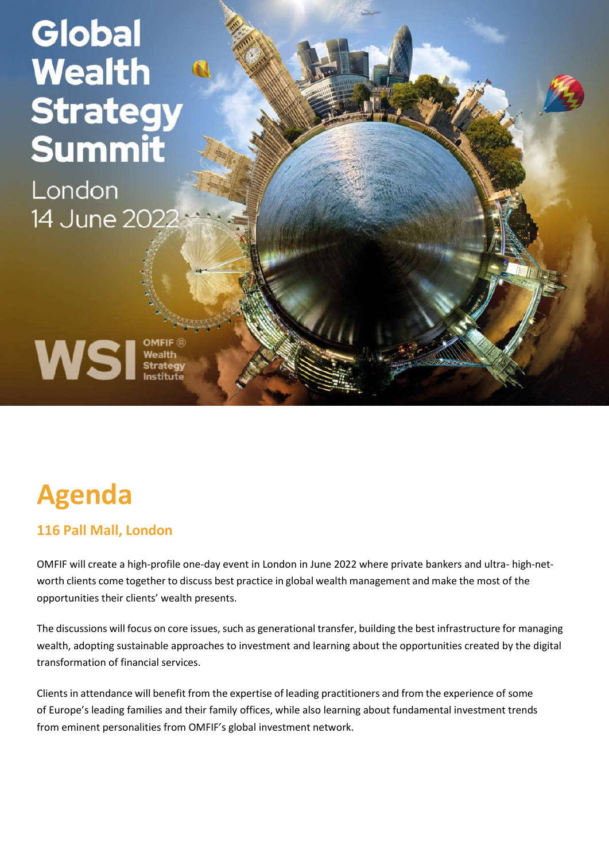# Global **Wealth Strategy Summit**

London 14 June 2022

WSI Strategy

# **Agenda**

## **116 Pall Mall, London**

OMFIF will create a high-profile one-day event in London in June 2022 where private bankers and ultra- high-networth clients come together to discuss best practice in global wealth management and make the most of the opportunities their clients' wealth presents.

The discussions will focus on core issues, such as generational transfer, building the best infrastructure for managing wealth, adopting sustainable approaches to investment and learning about the opportunities created by the digital transformation of financial services.

Clients in attendance will benefit from the expertise of leading practitioners and from the experience of some of Europe's leading families and their family offices, while also learning about fundamental investment trends from eminent personalities from OMFIF's global investment network.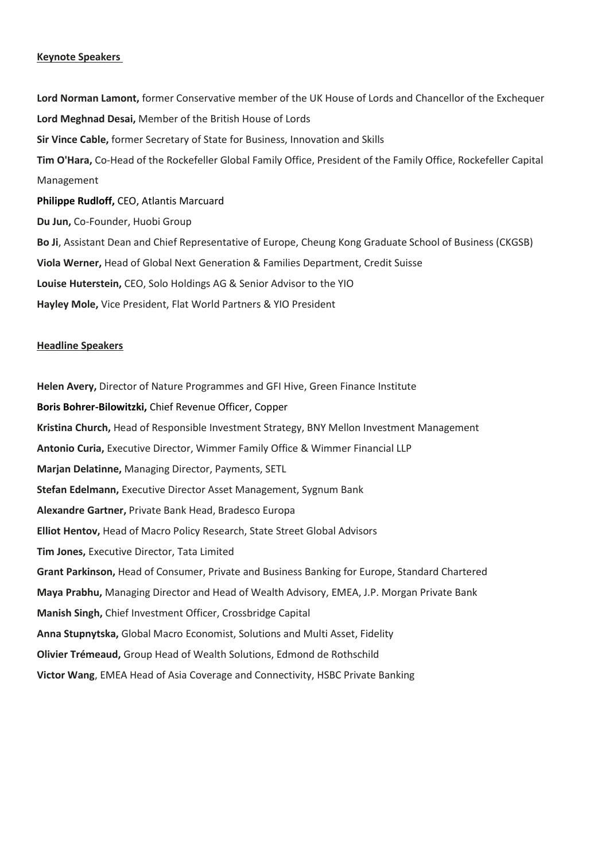#### **Keynote Speakers**

**Lord Norman Lamont,** former Conservative member of the UK House of Lords and Chancellor of the Exchequer **Lord Meghnad Desai,** Member of the British House of Lords **Sir Vince Cable,** former Secretary of State for Business, Innovation and Skills **Tim O'Hara,** Co-Head of the Rockefeller Global Family Office, President of the Family Office, Rockefeller Capital Management **Philippe Rudloff,** CEO, Atlantis Marcuard **Du Jun,** Co-Founder, Huobi Group **Bo Ji**, Assistant Dean and Chief Representative of Europe, Cheung Kong Graduate School of Business (CKGSB) **Viola Werner,** Head of Global Next Generation & Families Department, Credit Suisse **Louise Huterstein,** CEO, Solo Holdings AG & Senior Advisor to the YIO **Hayley Mole,** Vice President, Flat World Partners & YIO President

#### **Headline Speakers**

**Helen Avery,** Director of Nature Programmes and GFI Hive, Green Finance Institute **Boris Bohrer-Bilowitzki,** Chief Revenue Officer, Copper **Kristina Church,** Head of Responsible Investment Strategy, BNY Mellon Investment Management **Antonio Curia,** Executive Director, Wimmer Family Office & Wimmer Financial LLP **Marjan Delatinne,** Managing Director, Payments, SETL **Stefan Edelmann,** Executive Director Asset Management, Sygnum Bank **Alexandre Gartner,** Private Bank Head, Bradesco Europa **Elliot Hentov,** Head of Macro Policy Research, State Street Global Advisors **Tim Jones,** Executive Director, Tata Limited **Grant Parkinson,** Head of Consumer, Private and Business Banking for Europe, Standard Chartered **Maya Prabhu,** Managing Director and Head of Wealth Advisory, EMEA, J.P. Morgan Private Bank **Manish Singh,** Chief Investment Officer, Crossbridge Capital **Anna Stupnytska,** Global Macro Economist, Solutions and Multi Asset, Fidelity **Olivier Trémeaud,** Group Head of Wealth Solutions, Edmond de Rothschild **Victor Wang**, EMEA Head of Asia Coverage and Connectivity, HSBC Private Banking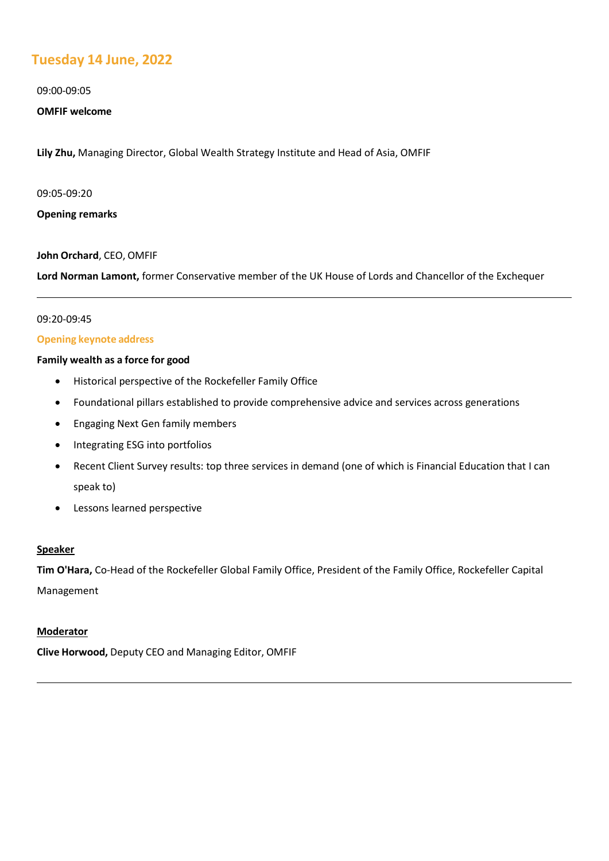### **Tuesday 14 June, 2022**

09:00-09:05

#### **OMFIF welcome**

**Lily Zhu,** Managing Director, Global Wealth Strategy Institute and Head of Asia, OMFIF

09:05-09:20

**Opening remarks**

#### **John Orchard**, CEO, OMFIF

**Lord Norman Lamont,** former Conservative member of the UK House of Lords and Chancellor of the Exchequer

#### 09:20-09:45

#### **Opening keynote address**

#### **Family wealth as a force for good**

- Historical perspective of the Rockefeller Family Office
- Foundational pillars established to provide comprehensive advice and services across generations
- Engaging Next Gen family members
- Integrating ESG into portfolios
- Recent Client Survey results: top three services in demand (one of which is Financial Education that I can speak to)
- Lessons learned perspective

#### **Speaker**

**Tim O'Hara,** Co-Head of the Rockefeller Global Family Office, President of the Family Office, Rockefeller Capital Management

#### **Moderator**

**Clive Horwood,** Deputy CEO and Managing Editor, OMFIF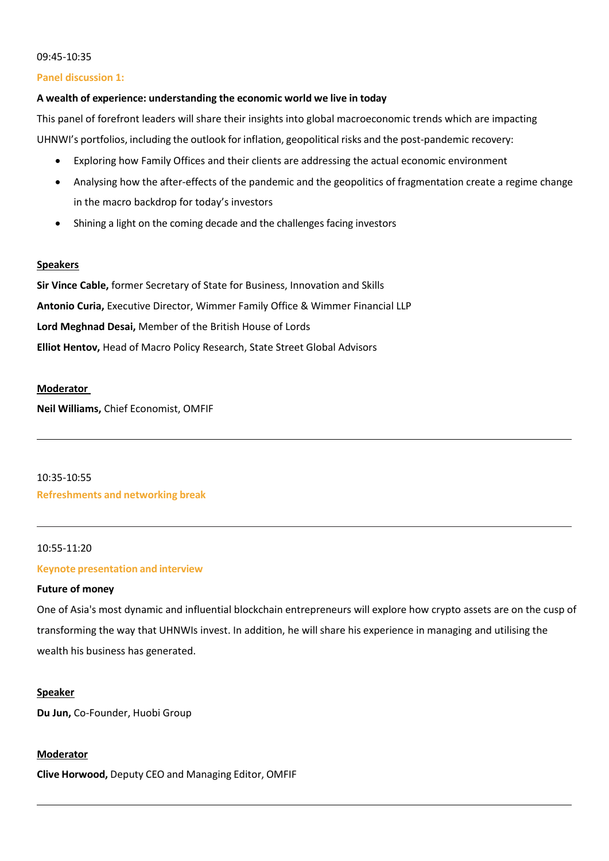#### 09:45-10:35

#### **Panel discussion 1:**

#### **A wealth of experience: understanding the economic world we live in today**

This panel of forefront leaders will share their insights into global macroeconomic trends which are impacting UHNWI's portfolios, including the outlook for inflation, geopolitical risks and the post-pandemic recovery:

- Exploring how Family Offices and their clients are addressing the actual economic environment
- Analysing how the after-effects of the pandemic and the geopolitics of fragmentation create a regime change in the macro backdrop for today's investors
- Shining a light on the coming decade and the challenges facing investors

#### **Speakers**

**Sir Vince Cable,** former Secretary of State for Business, Innovation and Skills **Antonio Curia,** Executive Director, Wimmer Family Office & Wimmer Financial LLP **Lord Meghnad Desai,** Member of the British House of Lords **Elliot Hentov,** Head of Macro Policy Research, State Street Global Advisors

#### **Moderator**

**Neil Williams,** Chief Economist, OMFIF

#### 10:35-10:55 **Refreshments and networking break**

#### 10:55-11:20

#### **Keynote presentation and interview**

#### **Future of money**

One of Asia's most dynamic and influential blockchain entrepreneurs will explore how crypto assets are on the cusp of transforming the way that UHNWIs invest. In addition, he will share his experience in managing and utilising the wealth his business has generated.

#### **Speaker**

**Du Jun,** Co-Founder, Huobi Group

#### **Moderator**

**Clive Horwood,** Deputy CEO and Managing Editor, OMFIF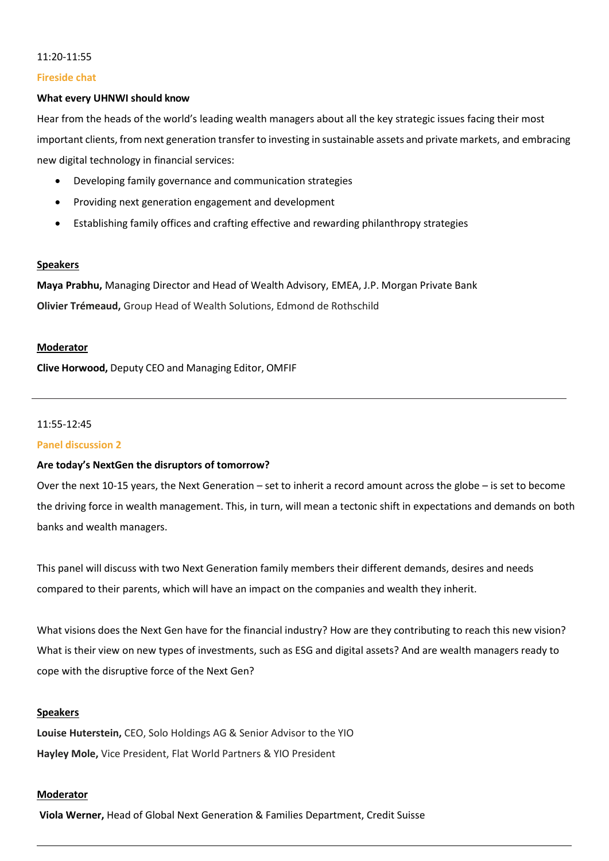#### 11:20-11:55

#### **Fireside chat**

#### **What every UHNWI should know**

Hear from the heads of the world's leading wealth managers about all the key strategic issues facing their most important clients, from next generation transfer to investing in sustainable assets and private markets, and embracing new digital technology in financial services:

- Developing family governance and communication strategies
- Providing next generation engagement and development
- Establishing family offices and crafting effective and rewarding philanthropy strategies

#### **Speakers**

**Maya Prabhu,** Managing Director and Head of Wealth Advisory, EMEA, J.P. Morgan Private Bank **Olivier Trémeaud,** Group Head of Wealth Solutions, Edmond de Rothschild

#### **Moderator**

**Clive Horwood,** Deputy CEO and Managing Editor, OMFIF

#### 11:55-12:45

#### **Panel discussion 2**

#### **Are today's NextGen the disruptors of tomorrow?**

Over the next 10-15 years, the Next Generation – set to inherit a record amount across the globe – is set to become the driving force in wealth management. This, in turn, will mean a tectonic shift in expectations and demands on both banks and wealth managers.

This panel will discuss with two Next Generation family members their different demands, desires and needs compared to their parents, which will have an impact on the companies and wealth they inherit.

What visions does the Next Gen have for the financial industry? How are they contributing to reach this new vision? What is their view on new types of investments, such as ESG and digital assets? And are wealth managers ready to cope with the disruptive force of the Next Gen?

#### **Speakers**

**Louise Huterstein,** CEO, Solo Holdings AG & Senior Advisor to the YIO **Hayley Mole,** Vice President, Flat World Partners & YIO President

#### **Moderator**

**Viola Werner,** Head of Global Next Generation & Families Department, Credit Suisse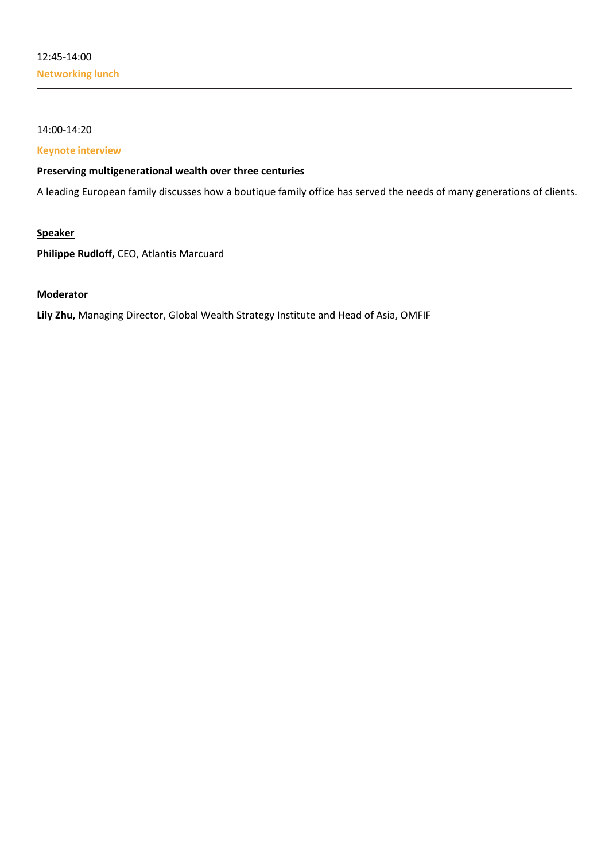#### 14:00-14:20

#### **Keynote interview**

#### **Preserving multigenerational wealth over three centuries**

A leading European family discusses how a boutique family office has served the needs of many generations of clients.

#### **Speaker**

**Philippe Rudloff,** CEO, Atlantis Marcuard

#### **Moderator**

**Lily Zhu,** Managing Director, Global Wealth Strategy Institute and Head of Asia, OMFIF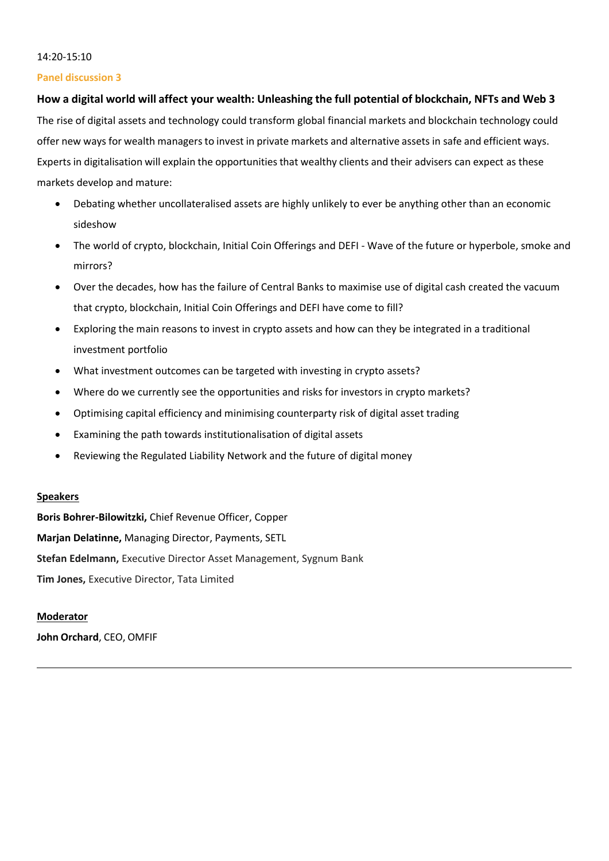#### 14:20-15:10

#### **Panel discussion 3**

#### **How a digital world will affect your wealth: Unleashing the full potential of blockchain, NFTs and Web 3**

The rise of digital assets and technology could transform global financial markets and blockchain technology could offer new ways for wealth managersto invest in private markets and alternative assets in safe and efficient ways. Experts in digitalisation will explain the opportunities that wealthy clients and their advisers can expect as these markets develop and mature:

- Debating whether uncollateralised assets are highly unlikely to ever be anything other than an economic sideshow
- The world of crypto, blockchain, Initial Coin Offerings and DEFI Wave of the future or hyperbole, smoke and mirrors?
- Over the decades, how has the failure of Central Banks to maximise use of digital cash created the vacuum that crypto, blockchain, Initial Coin Offerings and DEFI have come to fill?
- Exploring the main reasons to invest in crypto assets and how can they be integrated in a traditional investment portfolio
- What investment outcomes can be targeted with investing in crypto assets?
- Where do we currently see the opportunities and risks for investors in crypto markets?
- Optimising capital efficiency and minimising counterparty risk of digital asset trading
- Examining the path towards institutionalisation of digital assets
- Reviewing the Regulated Liability Network and the future of digital money

#### **Speakers**

**Boris Bohrer-Bilowitzki,** Chief Revenue Officer, Copper **Marjan Delatinne,** Managing Director, Payments, SETL **Stefan Edelmann,** Executive Director Asset Management, Sygnum Bank **Tim Jones,** Executive Director, Tata Limited

#### **Moderator**

**John Orchard**, CEO, OMFIF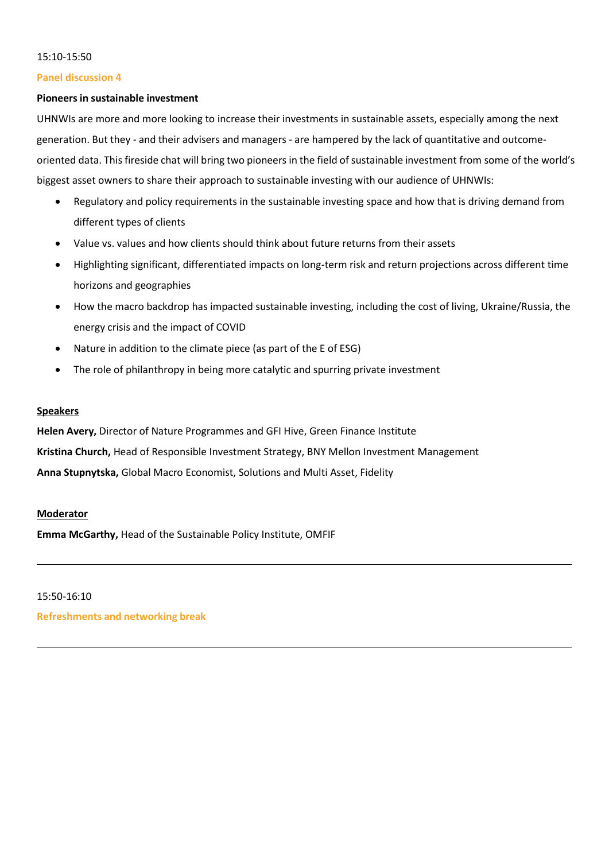#### 15:10-15:50

#### **Panel discussion 4**

#### **Pioneers in sustainable investment**

UHNWIs are more and more looking to increase their investments in sustainable assets, especially among the next generation. But they - and their advisers and managers - are hampered by the lack of quantitative and outcomeoriented data. This fireside chat will bring two pioneers in the field of sustainable investment from some of the world's biggest asset owners to share their approach to sustainable investing with our audience of UHNWIs:

- Regulatory and policy requirements in the sustainable investing space and how that is driving demand from different types of clients
- Value vs. values and how clients should think about future returns from their assets
- Highlighting significant, differentiated impacts on long-term risk and return projections across different time horizons and geographies
- How the macro backdrop has impacted sustainable investing, including the cost of living, Ukraine/Russia, the energy crisis and the impact of COVID
- Nature in addition to the climate piece (as part of the E of ESG)
- The role of philanthropy in being more catalytic and spurring private investment

#### **Speakers**

**Helen Avery,** Director of Nature Programmes and GFI Hive, Green Finance Institute **Kristina Church,** Head of Responsible Investment Strategy, BNY Mellon Investment Management **Anna Stupnytska,** Global Macro Economist, Solutions and Multi Asset, Fidelity

#### **Moderator**

**Emma McGarthy,** Head of the Sustainable Policy Institute, OMFIF

#### 15:50-16:10

**Refreshments and networking break**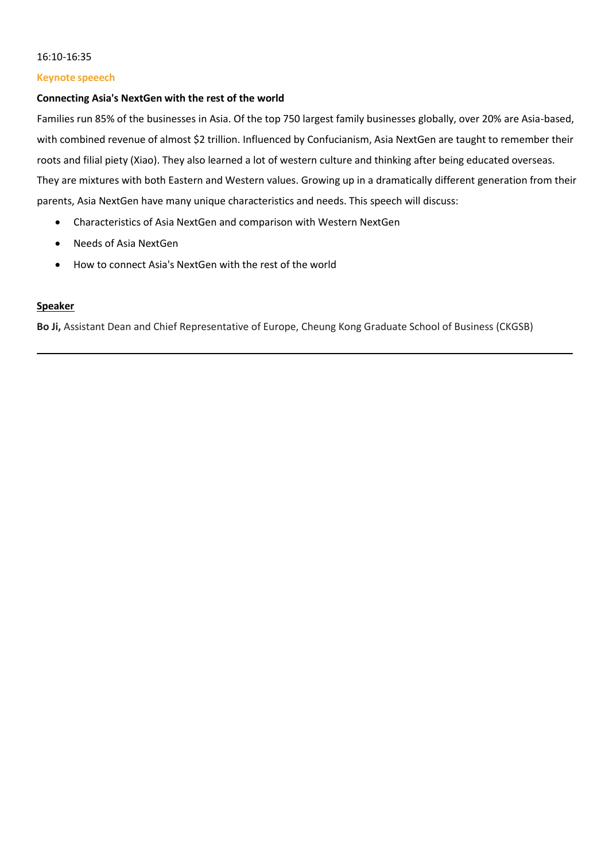#### 16:10-16:35

#### **Keynote speeech**

#### **Connecting Asia's NextGen with the rest of the world**

Families run 85% of the businesses in Asia. Of the top 750 largest family businesses globally, over 20% are Asia-based, with combined revenue of almost \$2 trillion. Influenced by Confucianism, Asia NextGen are taught to remember their roots and filial piety (Xiao). They also learned a lot of western culture and thinking after being educated overseas. They are mixtures with both Eastern and Western values. Growing up in a dramatically different generation from their parents, Asia NextGen have many unique characteristics and needs. This speech will discuss:

- Characteristics of Asia NextGen and comparison with Western NextGen
- Needs of Asia NextGen
- How to connect Asia's NextGen with the rest of the world

#### **Speaker**

**Bo Ji,** Assistant Dean and Chief Representative of Europe, Cheung Kong Graduate School of Business (CKGSB)